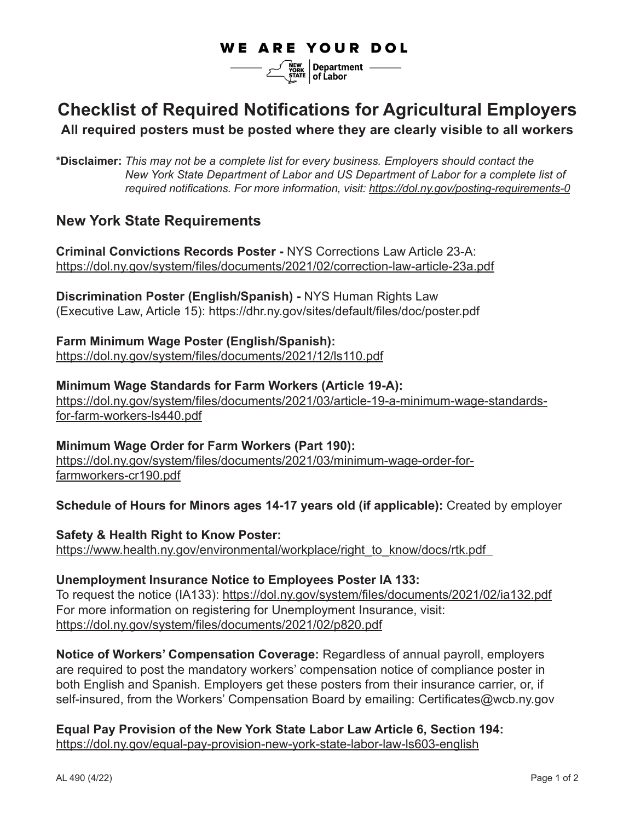# **WE ARE YOUR DOL**

 $\frac{N_{\text{CVRK}}}{N_{\text{CRI}}}\sqrt{\frac{N_{\text{CVRK}}}{N_{\text{CRI}}}}$  of Labor

# **Checklist of Required Notifications for Agricultural Employers**

#### **All required posters must be posted where they are clearly visible to all workers**

**\*Disclaimer:** *This may not be a complete list for every business. Employers should contact the New York State Department of Labor and US Department of Labor for a complete list of required notifications. For more information, visit: https://dol.ny.gov/posting-requirements-0*

## **New York State Requirements**

**Criminal Convictions Records Poster -** NYS Corrections Law Article 23-A: https://dol.ny.gov/system/files/documents/2021/02/correction-law-article-23a.pdf

**Discrimination Poster (English/Spanish) -** NYS Human Rights Law (Executive Law, Article 15): https://dhr.ny.gov/sites/default/files/doc/poster.pdf

**Farm Minimum Wage Poster (English/Spanish):** https://dol.ny.gov/system/files/documents/2021/12/ls110.pdf

**Minimum Wage Standards for Farm Workers (Article 19-A):**  https://dol.ny.gov/system/files/documents/2021/03/article-19-a-minimum-wage-standardsfor-farm-workers-ls440.pdf

**Minimum Wage Order for Farm Workers (Part 190):** https://dol.ny.gov/system/files/documents/2021/03/minimum-wage-order-forfarmworkers-cr190.pdf

**Schedule of Hours for Minors ages 14-17 years old (if applicable):** Created by employer

**Safety & Health Right to Know Poster:** https://www.health.ny.gov/environmental/workplace/right\_to\_know/docs/rtk.pdf

**Unemployment Insurance Notice to Employees Poster IA 133:**  To request the notice (IA133): https://dol.ny.gov/system/files/documents/2021/02/ia132.pdf For more information on registering for Unemployment Insurance, visit: https://dol.ny.gov/system/files/documents/2021/02/p820.pdf

**Notice of Workers' Compensation Coverage:** Regardless of annual payroll, employers are required to post the mandatory workers' compensation notice of compliance poster in both English and Spanish. Employers get these posters from their insurance carrier, or, if self-insured, from the Workers' Compensation Board by emailing: Certificates@wcb.ny.gov

**Equal Pay Provision of the New York State Labor Law Article 6, Section 194:** https://dol.ny.gov/equal-pay-provision-new-york-state-labor-law-ls603-english